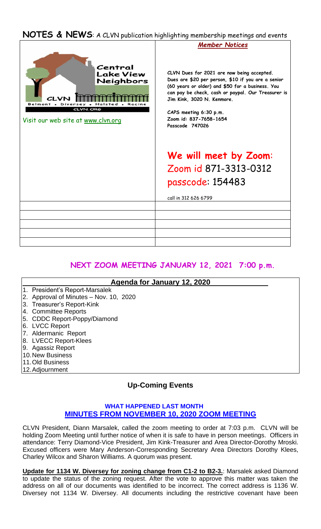## **NOTES & NEWS**: A CLVN publication highlighting membership meetings and events



## **NEXT ZOOM MEETING JANUARY 12, 2021 7:00 p.m.**

| Agenda for January 12, 2020            |  |
|----------------------------------------|--|
| 1. President's Report-Marsalek         |  |
| 2. Approval of Minutes - Nov. 10, 2020 |  |
| 3. Treasurer's Report-Kink             |  |
| 4. Committee Reports                   |  |
| 5. CDDC Report-Poppy/Diamond           |  |
| 6. LVCC Report                         |  |
| 7. Aldermanic Report                   |  |
| 8. LVECC Report-Klees                  |  |
| 9. Agassiz Report                      |  |
| <b>10. New Business</b>                |  |
| 11. Old Business                       |  |
| 12. Adjournment                        |  |

## **Up-Coming Events**

## **WHAT HAPPENED LAST MONTH MINUTES FROM NOVEMBER 10, 2020 ZOOM MEETING**

CLVN President, Diann Marsalek, called the zoom meeting to order at 7:03 p.m. CLVN will be holding Zoom Meeting until further notice of when it is safe to have in person meetings. Officers in attendance: Terry Diamond-Vice President, Jim Kink-Treasurer and Area Director-Dorothy Mroski. Excused officers were Mary Anderson-Corresponding Secretary Area Directors Dorothy Klees, Charley Wilcox and Sharon Williams. A quorum was present.

**Update for 1134 W. Diversey for zoning change from C1-2 to B2-3.**: Marsalek asked Diamond to update the status of the zoning request. After the vote to approve this matter was taken the address on all of our documents was identified to be incorrect. The correct address is 1136 W. Diversey not 1134 W. Diversey. All documents including the restrictive covenant have been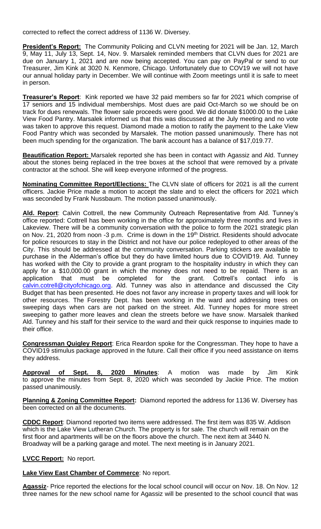corrected to reflect the correct address of 1136 W. Diversey.

**President's Report:** The Community Policing and CLVN meeting for 2021 will be Jan. 12, March 9, May 11, July 13, Sept. 14, Nov. 9. Marsalek reminded members that CLVN dues for 2021 are due on January 1, 2021 and are now being accepted. You can pay on PayPal or send to our Treasurer, Jim Kink at 3020 N. Kenmore, Chicago. Unfortunately due to COV19 we will not have our annual holiday party in December. We will continue with Zoom meetings until it is safe to meet in person.

**Treasurer's Report**: Kink reported we have 32 paid members so far for 2021 which comprise of 17 seniors and 15 individual memberships. Most dues are paid Oct-March so we should be on track for dues renewals. The flower sale proceeds were good. We did donate \$1000.00 to the Lake View Food Pantry. Marsalek informed us that this was discussed at the July meeting and no vote was taken to approve this request. Diamond made a motion to ratify the payment to the Lake View Food Pantry which was seconded by Marsalek. The motion passed unanimously. There has not been much spending for the organization. The bank account has a balance of \$17,019.77.

**Beautification Report:** Marsalek reported she has been in contact with Agassiz and Ald. Tunney about the stones being replaced in the tree boxes at the school that were removed by a private contractor at the school. She will keep everyone informed of the progress.

**Nominating Committee Report/Elections:** The CLVN slate of officers for 2021 is all the current officers. Jackie Price made a motion to accept the slate and to elect the officers for 2021 which was seconded by Frank Nussbaum. The motion passed unanimously.

**Ald. Report**: Calvin Cottrell, the new Community Outreach Representative from Ald. Tunney's office reported: Cottrell has been working in the office for approximately three months and lives in Lakeview. There will be a community conversation with the police to form the 2021 strategic plan on Nov. 21, 2020 from noon -3 p.m. Crime is down in the 19<sup>th</sup> District. Residents should advocate for police resources to stay in the District and not have our police redeployed to other areas of the City. This should be addressed at the community conversation. Parking stickers are available to purchase in the Alderman's office but they do have limited hours due to COVID19. Ald. Tunney has worked with the City to provide a grant program to the hospitality industry in which they can apply for a \$10,000.00 grant in which the money does not need to be repaid. There is an application that must be completed for the grant. Cottrell's contact info is [calvin.cotrell@cityofchicago.org.](mailto:calvin.cotrell@cityofchicago.org) Ald. Tunney was also in attendance and discussed the City Budget that has been presented. He does not favor any increase in property taxes and will look for other resources. The Forestry Dept. has been working in the ward and addressing trees on sweeping days when cars are not parked on the street. Ald. Tunney hopes for more street sweeping to gather more leaves and clean the streets before we have snow. Marsalek thanked Ald. Tunney and his staff for their service to the ward and their quick response to inquiries made to their office.

**Congressman Quigley Report**: Erica Reardon spoke for the Congressman. They hope to have a COVID19 stimulus package approved in the future. Call their office if you need assistance on items they address.

**Approval of Sept. 8, 2020 Minutes**: A motion was made by Jim Kink to approve the minutes from Sept. 8, 2020 which was seconded by Jackie Price. The motion passed unanimously.

**Planning & Zoning Committee Report:** Diamond reported the address for 1136 W. Diversey has been corrected on all the documents.

**CDDC Report**: Diamond reported two items were addressed. The first item was 835 W. Addison which is the Lake View Lutheran Church. The property is for sale. The church will remain on the first floor and apartments will be on the floors above the church. The next item at 3440 N. Broadway will be a parking garage and motel. The next meeting is in January 2021.

**LVCC Report:** No report.

**Lake View East Chamber of Commerce**: No report.

**Agassiz**- Price reported the elections for the local school council will occur on Nov. 18. On Nov. 12 three names for the new school name for Agassiz will be presented to the school council that was